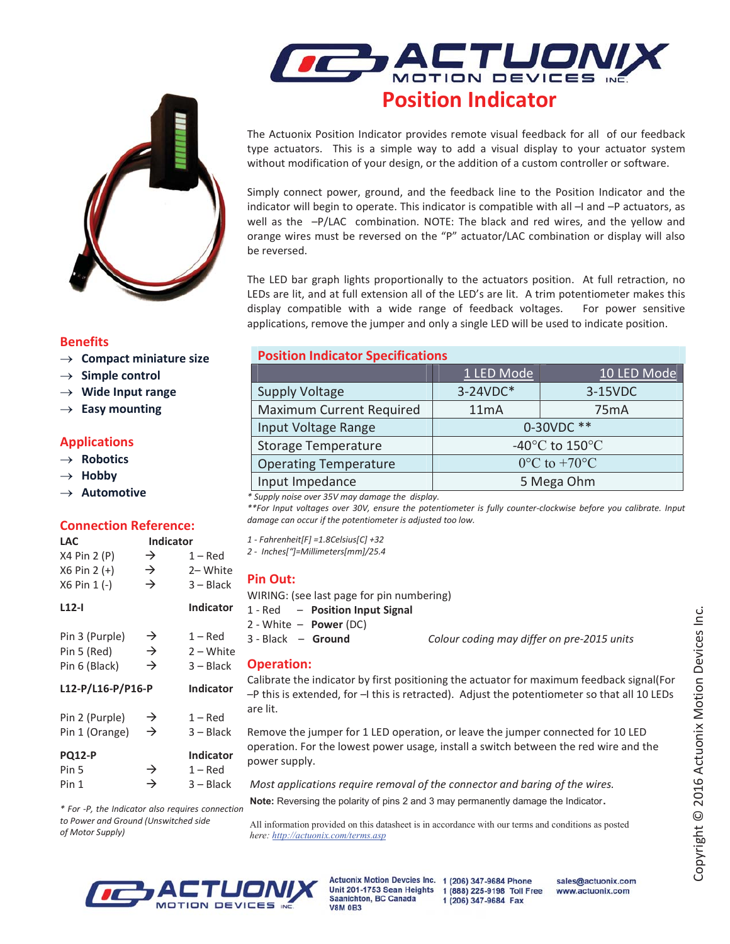

## Benefits

- $\rightarrow$  Compact miniature size
- $\rightarrow$  Simple control
- $\rightarrow$  Wide Input range
- $\rightarrow$  Easy mounting

## Applications

- $\rightarrow$  Robotics
- $\rightarrow$  Hobby
- $\rightarrow$  Automotive

### Connection Reference:

| <b>LAC</b>               | <b>Indicator</b> |                  |
|--------------------------|------------------|------------------|
| X4 Pin 2 (P)             | →                | $1 - Red$        |
| X6 Pin 2 (+)             | $\rightarrow$    | 2-White          |
| X6 Pin 1 (-)             | $\rightarrow$    | $3 - Black$      |
| L12-I                    |                  | <b>Indicator</b> |
| Pin 3 (Purple)           | →                | $1 - Red$        |
| Pin 5 (Red)              | $\rightarrow$    | 2 – White        |
| Pin 6 (Black)            | $\rightarrow$    | $3 - Black$      |
| <b>L12-P/L16-P/P16-P</b> |                  | <b>Indicator</b> |
| Pin 2 (Purple)           | →                | $1 - Red$        |
| Pin 1 (Orange)           | →                | 3 – Black        |
| <b>PQ12-P</b>            |                  | <b>Indicator</b> |
| Pin 5                    | $\rightarrow$    | $1 - Red$        |
| Pin 1                    | →                | $3 - Black$      |
|                          |                  |                  |

\* For -P, the Indicator also requires connection to Power and Ground (Unswitched side

of Motor Supply)

**POSITION DEVICES**<br>Position Indicator

The Actuonix Position Indicator provides remote visual feedback for all of our feedback type actuators. This is a simple way to add a visual display to your actuator system without modification of your design, or the addition of a custom controller or software.

Simply connect power, ground, and the feedback line to the Position Indicator and the indicator will begin to operate. This indicator is compatible with all –I and –P actuators, as well as the –P/LAC combination. NOTE: The black and red wires, and the yellow and orange wires must be reversed on the "P" actuator/LAC combination or display will also be reversed.

The LED bar graph lights proportionally to the actuators position. At full retraction, no LEDs are lit, and at full extension all of the LED's are lit. A trim potentiometer makes this display compatible with a wide range of feedback voltages. For power sensitive applications, remove the jumper and only a single LED will be used to indicate position.

# **Position Indicator Specifications**

|                              | 1 LED Mode                           | 10 LED Mode       |  |
|------------------------------|--------------------------------------|-------------------|--|
| <b>Supply Voltage</b>        | 3-24VDC*                             | 3-15VDC           |  |
| Maximum Current Required     | 11mA                                 | 75 <sub>m</sub> A |  |
| Input Voltage Range          | 0-30VDC **                           |                   |  |
| <b>Storage Temperature</b>   | -40 $^{\circ}$ C to 150 $^{\circ}$ C |                   |  |
| <b>Operating Temperature</b> | $0^{\circ}$ C to +70 $^{\circ}$ C    |                   |  |
| Input Impedance              | 5 Mega Ohm                           |                   |  |

\* Supply noise over 35V may damage the display.

\*\*For Input voltages over 30V, ensure the potentiometer is fully counter-clockwise before you calibrate. Input damage can occur if the potentiometer is adjusted too low.

1 - Fahrenheit[F] =1.8Celsius[C] +32

2 - Inches["]=Millimeters[mm]/25.4

### Pin Out:

- WIRING: (see last page for pin numbering)
- 1 Red Position Input Signal
- 2 White Power (DC)

3 - Black – Ground Colour coding may differ on pre-2015 units

### Operation:

Calibrate the indicator by first positioning the actuator for maximum feedback signal(For –P this is extended, for –I this is retracted). Adjust the potentiometer so that all 10 LEDs are lit.

Remove the jumper for 1 LED operation, or leave the jumper connected for 10 LED operation. For the lowest power usage, install a switch between the red wire and the power supply.

Most applications require removal of the connector and baring of the wires.

Note: Reversing the polarity of pins 2 and 3 may permanently damage the Indicator.

 All information provided on this datasheet is in accordance with our terms and conditions as posted  *here: http://actuonix.com/terms.asp*



Actuonix Motion Devcies Inc. 1 (206) 347-9684 Phone Unit 201-1753 Sean Heights 1 (888) 225-9198 Toll Free Saanichton, BC Canada **V8M 0B3** 

sales@actuonix.com www.actuonix.com 1 (206) 347-9684 Fax